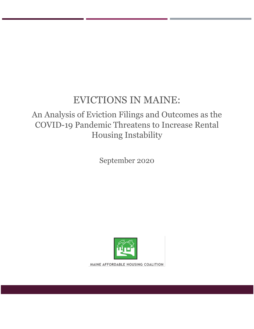# EVICTIONS IN MAINE:

## An Analysis of Eviction Filings and Outcomes as the COVID-19 Pandemic Threatens to Increase Rental Housing Instability

September 2020



MAINE AFFORDABLE HOUSING COALITION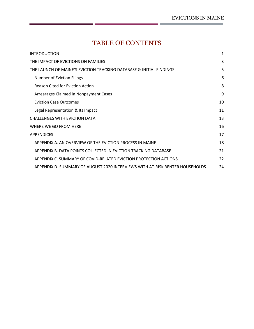## TABLE OF CONTENTS

| <b>INTRODUCTION</b>                                                          | 1  |
|------------------------------------------------------------------------------|----|
| THE IMPACT OF EVICTIONS ON FAMILIES                                          | 3  |
| THE LAUNCH OF MAINE'S EVICTION TRACKING DATABASE & INITIAL FINDINGS          | 5  |
| <b>Number of Eviction Filings</b>                                            | 6  |
| <b>Reason Cited for Eviction Action</b>                                      | 8  |
| Arrearages Claimed in Nonpayment Cases                                       | 9  |
| <b>Eviction Case Outcomes</b>                                                | 10 |
| Legal Representation & Its Impact                                            | 11 |
| <b>CHALLENGES WITH EVICTION DATA</b>                                         | 13 |
| WHERE WE GO FROM HERE                                                        | 16 |
| <b>APPENDICES</b>                                                            | 17 |
| APPENDIX A. AN OVERVIEW OF THE EVICTION PROCESS IN MAINE                     | 18 |
| APPENDIX B. DATA POINTS COLLECTED IN EVICTION TRACKING DATABASE              | 21 |
| APPENDIX C. SUMMARY OF COVID-RELATED EVICTION PROTECTION ACTIONS             | 22 |
| APPENDIX D. SUMMARY OF AUGUST 2020 INTERVIEWS WITH AT-RISK RENTER HOUSEHOLDS | 24 |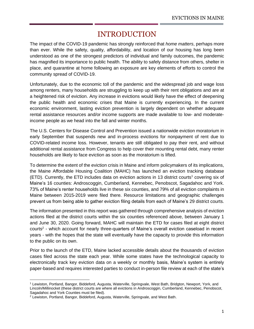## INTRODUCTION

<span id="page-2-0"></span>The impact of the COVID-19 pandemic has strongly reinforced that *home matters*, perhaps more than ever. While the safety, quality, affordability, and location of our housing has long been understood as one of the strongest predictors of individual and family outcomes, the pandemic has magnified its importance to public health. The ability to safely distance from others, shelter in place, and quarantine at home following an exposure are key elements of efforts to control the community spread of COVID-19.

Unfortunately, due to the economic toll of the pandemic and the widespread job and wage loss among renters, many households are struggling to keep up with their rent obligations and are at a heightened risk of eviction. Any increase in evictions would likely have the effect of deepening the public health and economic crises that Maine is currently experiencing. In the current economic environment, lasting eviction prevention is largely dependent on whether adequate rental assistance resources and/or income supports are made available to low- and moderateincome people as we head into the fall and winter months.

The U.S. Centers for Disease Control and Prevention issued a nationwide eviction moratorium in early September that suspends new and in-process evictions for nonpayment of rent due to COVID-related income loss. However, tenants are still obligated to pay their rent, and without additional rental assistance from Congress to help cover their mounting rental debt, many renter households are likely to face eviction as soon as the moratorium is lifted.

To determine the extent of the eviction crisis in Maine and inform policymakers of its implications, the Maine Affordable Housing Coalition (MAHC) has launched an eviction tracking database (ETD). Currently, the ETD includes data on eviction actions in 13 district courts<sup>1</sup> covering six of Maine's 16 counties: Androscoggin, Cumberland, Kennebec, Penobscot, Sagadahoc and York. 73% of Maine's renter households live in these six counties, and 79% of all eviction complaints in Maine between 2015-2019 were filed there. Resource limitations and geographic challenges prevent us from being able to gather eviction filing details from each of Maine's 29 district courts.

The information presented in this report was gathered through comprehensive analysis of eviction actions filed at the district courts within the six counties referenced above, between January 1 and June 30, 2020. Going forward, MAHC will maintain the ETD for cases filed at eight district courts<sup>2</sup> - which account for nearly three-quarters of Maine's overall eviction caseload in recent years - with the hopes that the state will eventually have the capacity to provide this information to the public on its own.

Prior to the launch of the ETD, Maine lacked accessible details about the thousands of eviction cases filed across the state each year. While some states have the technological capacity to electronically track key eviction data on a weekly or monthly basis, Maine's system is entirely paper-based and requires interested parties to conduct in-person file review at each of the state's

<sup>1</sup> Lewiston, Portland, Bangor, Biddeford, Augusta, Waterville, Springvale, West Bath, Bridgton, Newport, York, and Lincoln/Millinocket (these district courts are where all evictions in Androscoggin, Cumberland, Kennebec, Penobscot, Sagadahoc and York Counties must be filed).

<sup>2</sup> Lewiston, Portland, Bangor, Biddeford, Augusta, Waterville, Springvale, and West Bath.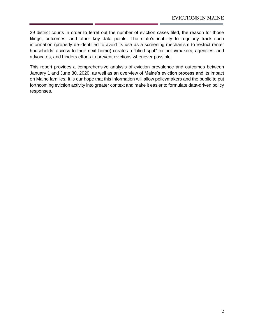29 district courts in order to ferret out the number of eviction cases filed, the reason for those filings, outcomes, and other key data points. The state's inability to regularly track such information (properly de-identified to avoid its use as a screening mechanism to restrict renter households' access to their next home) creates a "blind spot" for policymakers, agencies, and advocates, and hinders efforts to prevent evictions whenever possible.

This report provides a comprehensive analysis of eviction prevalence and outcomes between January 1 and June 30, 2020, as well as an overview of Maine's eviction process and its impact on Maine families. It is our hope that this information will allow policymakers and the public to put forthcoming eviction activity into greater context and make it easier to formulate data-driven policy responses.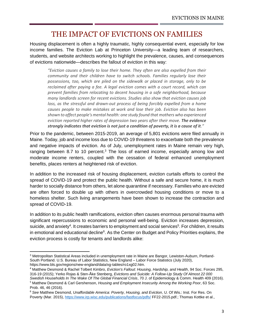## THE IMPACT OF EVICTIONS ON FAMILIES

<span id="page-4-0"></span>Housing displacement is often a highly traumatic, highly consequential event, especially for low income families. The Eviction Lab at Princeton University—a leading team of researchers, students, and website architects working to highlight the prevalence, causes, and consequences of evictions nationwide—describes the fallout of eviction in this way:

*"Eviction causes a family to lose their home. They often are also expelled from their community and their children have to switch schools. Families regularly lose their possessions, too, which are piled on the sidewalk or placed in storage, only to be reclaimed after paying a fee. A legal eviction comes with a court record, which can prevent families from relocating to decent housing in a safe neighborhood, because many landlords screen for recent evictions. Studies also show that eviction causes job loss, as the stressful and drawn-out process of being forcibly expelled from a home causes people to make mistakes at work and lose their job. Eviction also has been shown to affect people's mental health: one study found that mothers who experienced eviction reported higher rates of depression two years after their move. The evidence strongly indicates that eviction is not just a condition of poverty, it is a cause of it."*

Prior to the pandemic, between 2015-2019, an average of 5,801 evictions were filed annually in Maine. Today, job and income loss due to COVID-19 threatens to exacerbate both the prevalence and negative impacts of eviction. As of July, unemployment rates in Maine remain very high, ranging between 8.7 to 10 percent. $3$  The loss of earned income, especially among low and moderate income renters, coupled with the cessation of federal enhanced unemployment benefits, places renters at heightened risk of eviction.

In addition to the increased risk of housing displacement, eviction curtails efforts to control the spread of COVID-19 and protect the public health. Without a safe and secure home, it is much harder to socially distance from others, let alone quarantine if necessary. Families who are evicted are often forced to double up with others in overcrowded housing conditions or move to a homeless shelter. Such living arrangements have been shown to increase the contraction and spread of COVID-19.

In addition to its public health ramifications, eviction often causes enormous personal trauma with significant repercussions to economic and personal well-being. Eviction increases depression, suicide, and anxiety<sup>4</sup>. It creates barriers to employment and social services<sup>5</sup>. For children, it results in emotional and educational decline<sup>6</sup>. As the Center on Budget and Policy Priorities explains, the eviction process is costly for tenants and landlords alike:

<sup>3</sup> Metropolitan Statistical Areas included in unemployment rate in Maine are Bangor, Lewiston-Auburn, Portland-South Portland. U.S. Bureau of Labor Statistics, New England – Labor Force Statistics (July 2020), https://www.bls.gov/regions/new-england/data/xg-tables/ro1xg02.htm.

<sup>4</sup> Matthew Desmond & Rachel Tolbert Kimbro, *Eviction's Fallout: Housing, Hardship, and Health*, 94 Soc. Forces 295, 316-19 (2015); Yerko Rojas & Sten-Åke Stenberg, *Evictions and Suicide: A Follow-Up Study Of Almost 22 000 Swedish Households In The Wake Of The Global Financial Crisis*, 70 J. of Epidemiology & Comm. Health 409 (2016). <sup>5</sup> Matthew Desmond & Carl Gershenson, *Housing and Employment Insecurity Among the Working Poor*, 63 Soc. Prob. 46, 46 (2016).

<sup>6</sup> *See* Matthew Desmond, *Unaffordable America: Poverty, Housing, and Eviction*, U. Of Wis.: Inst. For Res. On Poverty (Mar. 2015)[, https://www.irp.wisc.edu/publications/fastfocus/pdfs/](https://www.irp.wisc.edu/publications/fastfocus/pdfs/) FF22-2015.pdf.; Thomas Kottke et al.,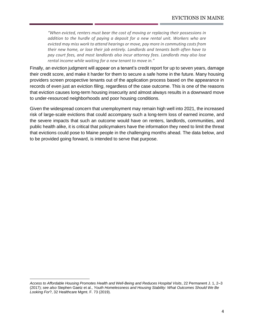*"When evicted, renters must bear the cost of moving or replacing their possessions in addition to the hurdle of paying a deposit for a new rental unit. Workers who are evicted may miss work to attend hearings or move, pay more in commuting costs from their new home, or lose their job entirely. Landlords and tenants both often have to pay court fees, and most landlords also incur attorney fees. Landlords may also lose rental income while waiting for a new tenant to move in."*

Finally, an eviction judgment will appear on a tenant's credit report for up to seven years, damage their credit score, and make it harder for them to secure a safe home in the future. Many housing providers screen prospective tenants out of the application process based on the appearance in records of even just an eviction *filing*, regardless of the case outcome. This is one of the reasons that eviction causes long-term housing insecurity and almost always results in a downward move to under-resourced neighborhoods and poor housing conditions.

Given the widespread concern that unemployment may remain high well into 2021, the increased risk of large-scale evictions that could accompany such a long-term loss of earned income, and the severe impacts that such an outcome would have on renters, landlords, communities, and public health alike, it is critical that policymakers have the information they need to limit the threat that evictions could pose to Maine people in the challenging months ahead. The data below, and to be provided going forward, is intended to serve that purpose.

*Access to Affordable Housing Promotes Health and Well-Being and Reduces Hospital Visits*, 22 Permanent J. 1, 2–3 (2017); *see also* Stephen Gaetz et al., *Youth Homelessness and Housing Stability: What Outcomes Should We Be Looking For*?, 32 Healthcare Mgmt. F. 73 (2019).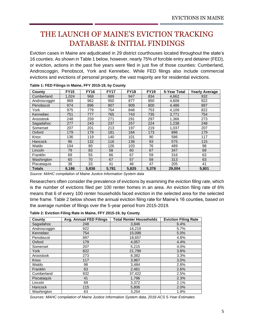## <span id="page-6-0"></span>THE LAUNCH OF MAINE'S EVICTION TRACKING DATABASE & INITIAL FINDINGS

Eviction cases in Maine are adjudicated in 29 district courthouses located throughout the state's 16 counties. As shown in Table 1 below, however, nearly 75% of forcible entry and detainer (FED), or eviction, actions in the past five years were filed in just five of those counties: Cumberland, Androscoggin, Penobscot, York and Kennebec. While FED filings also include commercial evictions and evictions of personal property, the vast majority are for residential evictions.

| County        | <b>FY15</b> | <b>FY16</b> | <b>FY17</b> | <b>FY18</b> | <b>FY19</b> | 5-Year Total | <b>Yearly Average</b> |
|---------------|-------------|-------------|-------------|-------------|-------------|--------------|-----------------------|
| Cumberland    | 1,024       | 968         | 889         | 947         | 834         | 4,662        | 932                   |
| Androscoggin  | 969         | 962         | 950         | 877         | 850         | 4,608        | 922                   |
| Penobscot     | 974         | 896         | 907         | 909         | 800         | 4,486        | 897                   |
| York          | 975         | 779         | 754         | 848         | 753         | 4,109        | 822                   |
| Kennebec      | 751         | 777         | 765         | 743         | 735         | 3,771        | 754                   |
| Aroostook     | 248         | 259         | 271         | 291         | 297         | 1,366        | 273                   |
| Sagadahoc     | 277         | 243         | 237         | 257         | 224         | 1,238        | 248                   |
| Somerset      | 207         | 201         | 213         | 197         | 219         | 1,037        | 207                   |
| Oxford        | 179         | 179         | 181         | 184         | 173         | 896          | 179                   |
| Knox          | 136         | 119         | 140         | 101         | 90          | 586          | 117                   |
| Hancock       | 96          | 132         | 116         | 138         | 93          | 575          | 115                   |
| Waldo         | 104         | 80          | 126         | 103         | 76          | 489          | 98                    |
| Lincoln       | 79          | 83          | 58          | 60          | 67          | 347          | 69                    |
| Franklin      | 69          | 55          | 66          | 67          | 59          | 316          | 63                    |
| Washington    | 60          | 70          | 67          | 57          | 59          | 313          | 63                    |
| Piscataquis   | 38          | 33          | 41          | 46          | 47          | 205          | 41                    |
| <b>Totals</b> | 6,186       | 5,836       | 5,781       | 5,825       | 5,376       | 29,004       | 5,801                 |

**Table 1: FED Filings in Maine, FFY 2015-19, by County**

*Source: MAHC compilation of Maine Justice Information System data*

Researchers often consider the prevalence of evictions by examining the *eviction filing rate*, which is the number of evictions filed per 100 renter homes in an area. An eviction filing rate of 6% means that 6 of every 100 renter households faced eviction in the selected area for the selected time frame. Table 2 below shows the annual eviction filing rate for Maine's 16 counties, based on the average number of filings over the 5-year period from 2015-2019.

**Table 2: Eviction Filing Rate in Maine, FFY 2015-19, by County** 

| County          | Avg. Annual FED Filings | <b>Total Renter Households</b> | <b>Eviction Filing Rate</b> |
|-----------------|-------------------------|--------------------------------|-----------------------------|
| Sagadahoc       | 248                     | 3,846                          | 6.4%                        |
| Androscoggin    | 922                     | 16,219                         | 5.7%                        |
| Kennebec        | 754                     | 15,099                         | 5.0%                        |
| Penobscot       | 897                     | 18,657                         | 4.8%                        |
| Oxford          | 179                     | 4,057                          | 4.4%                        |
| Somerset        | 207                     | 5,215                          | 4.0%                        |
| York            | 822                     | 21,799                         | 3.8%                        |
| Aroostook       | 273                     | 8,382                          | 3.3%                        |
| Knox            | 117                     | 3,967                          | 3.0%                        |
| Waldo           | 98                      | 3,484                          | 2.8%                        |
| <b>Franklin</b> | 63                      | 2,461                          | 2.6%                        |
| Cumberland      | 932                     | 37,422                         | 2.5%                        |
| Piscataguis     | 41                      | 1,796                          | 2.3%                        |
| Lincoln         | 69                      | 3,372                          | 2.1%                        |
| Hancock         | 115                     | 5,806                          | 2.0%                        |
| Washington      | 63                      | 3,254                          | 1.9%                        |

*Sources: MAHC compilation of Maine Justice Information System data, 2018 ACS 5-Year Estimates*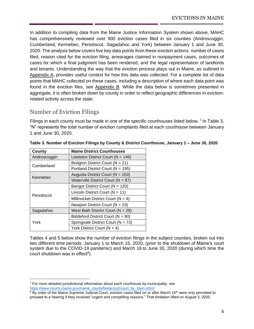In addition to compiling data from the Maine Justice Information System shown above, MAHC has comprehensively reviewed over 900 eviction cases filed in six counties (Androscoggin, Cumberland, Kennebec, Penobscot, Sagadahoc and York) between January 1 and June 30, 2020. The analysis below covers five key data points from these eviction actions: number of cases filed, reason cited for the eviction filing, arrearages claimed in nonpayment cases, outcomes of cases for which a final judgment has been rendered, and the legal representation of landlords and tenants. Understanding the way that the eviction process plays out in Maine, as outlined in Appendix A, provides useful context for how this data was collected. For a complete list of data points that MAHC collected on these cases, including a description of where each data point was found in the eviction files, see Appendix B. While the data below is sometimes presented in aggregate, it is often broken down by county in order to reflect geographic differences in evictionrelated activity across the state.

### <span id="page-7-0"></span>Number of Eviction Filings

Filings in each county must be made in one of the specific courthouses listed below.<sup>7</sup> In Table 3, "N" represents the total number of eviction complaints filed at each courthouse between January 1 and June 30, 2020.

| County       | <b>Maine District Courthouses</b>      |  |  |  |  |
|--------------|----------------------------------------|--|--|--|--|
| Androscoggin | Lewiston District Court ( $N = 146$ )  |  |  |  |  |
| Cumberland   | Bridgton District Court ( $N = 21$ )   |  |  |  |  |
|              | Portland District Court ( $N = 195$ )  |  |  |  |  |
| Kennebec     | Augusta District Court ( $N = 103$ )   |  |  |  |  |
|              | Waterville District Court ( $N = 87$ ) |  |  |  |  |
|              | Bangor District Court ( $N = 120$ )    |  |  |  |  |
| Penobscot    | Lincoln District Court ( $N = 11$ )    |  |  |  |  |
|              | Millinocket District Court ( $N = 4$ ) |  |  |  |  |
|              | Newport District Court ( $N = 23$ )    |  |  |  |  |
| Sagadahoc    | West Bath District Court ( $N = 29$ )  |  |  |  |  |
|              | Biddeford District Court ( $N = 90$ )  |  |  |  |  |
| York         | Springvale District Court ( $N = 73$ ) |  |  |  |  |
|              | York District Court ( $N = 4$ )        |  |  |  |  |

|  |  |  | Table 3. Number of Eviction Filings by County & District Courthouse, January 1 - June 30, 2020 |
|--|--|--|------------------------------------------------------------------------------------------------|
|  |  |  |                                                                                                |
|  |  |  |                                                                                                |

Tables 4 and 5 below show the number of eviction filings in the subject counties, broken out into two different time periods: January 1 to March 15, 2020, (prior to the shutdown of Maine's court system due to the COVID-19 pandemic) and March 16 to June 30, 2020 (during which time the court shutdown was in effect<sup>8</sup>).

 $7$  For more detailed jurisdictional information about each courthouse by municipality, see [https://www.courts.maine.gov/maine\\_courts/findacourt/court\\_by\\_town.shtml](https://www.courts.maine.gov/maine_courts/findacourt/court_by_town.shtml)

<sup>&</sup>lt;sup>8</sup> By order of the Maine Supreme Judicial Court, eviction cases filed on or after March 15<sup>th</sup> were only permitted to proceed to a hearing if they involved "urgent and compelling reasons." That limitation lifted on August 3, 2020.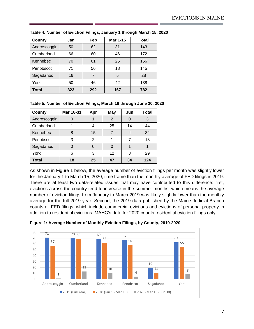| County       | Jan | Feb | Mar 1-15 | Total |
|--------------|-----|-----|----------|-------|
| Androscoggin | 50  | 62  | 31       | 143   |
| Cumberland   | 66  | 60  | 46       | 172   |
| Kennebec     | 70  | 61  | 25       | 156   |
| Penobscot    | 71  | 56  | 18       | 145   |
| Sagadahoc    | 16  | 7   | 5        | 28    |
| York         | 50  | 46  | 42       | 138   |
| Total        | 323 | 292 | 167      | 782   |

**Table 4. Number of Eviction Filings, January 1 through March 15, 2020**

#### **Table 5. Number of Eviction Filings, March 16 through June 30, 2020**

| <b>County</b> | Mar 16-31 | Apr            | <b>May</b> | Jun | Total |
|---------------|-----------|----------------|------------|-----|-------|
| Androscoggin  |           |                | 2          | O   | 3     |
| Cumberland    |           | 4              | 25         | 14  | 44    |
| Kennebec      | 8         | 15             |            |     | 34    |
| Penobscot     | 3         | $\mathfrak{p}$ |            |     | 13    |
| Sagadahoc     |           |                |            |     |       |
| York          | 6         | 3              | 12         | 8   | 29    |
| <b>Total</b>  | 18        | 25             | 47         | 34  | 124   |

As shown in Figure 1 below, the average number of eviction filings per month was slightly lower for the January 1 to March 15, 2020, time frame than the monthly average of FED filings in 2019. There are at least two data-related issues that may have contributed to this difference: first, evictions across the country tend to increase in the summer months, which means the average number of eviction filings from January to March 2019 was likely slightly lower than the monthly average for the full 2019 year. Second, the 2019 data published by the Maine Judicial Branch counts all FED filings, which include commercial evictions and evictions of personal property in addition to residential evictions. MAHC's data for 2020 counts residential eviction filings only.



**Figure 1: Average Number of Monthly Eviction Filings, by County, 2019-2020**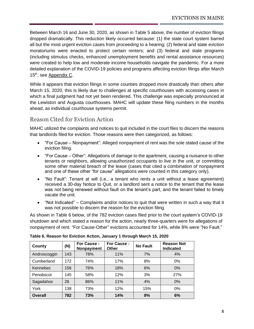Between March 16 and June 30, 2020, as shown in Table 5 above, the number of eviction filings dropped dramatically. This reduction likely occurred because: (1) the state court system barred all but the most urgent eviction cases from proceeding to a hearing; (2) federal and state eviction moratoriums were enacted to protect certain renters; and (3) federal and state programs (including stimulus checks, enhanced unemployment benefits and rental assistance resources) were created to help low and moderate income households navigate the pandemic. For a more detailed explanation of the COVID-19 policies and programs affecting eviction filings after March 15<sup>th</sup>, see Appendix C.

While it appears that eviction filings in some counties dropped more drastically than others after March 15, 2020, this is likely due to challenges at specific courthouses with accessing cases in which a final judgment had not yet been rendered. This challenge was especially pronounced at the Lewiston and Augusta courthouses. MAHC will update these filing numbers in the months ahead, as individual courthouse systems permit.

### <span id="page-9-0"></span>Reason Cited for Eviction Action

MAHC utilized the complaints and notices to quit included in the court files to discern the reasons that landlords filed for eviction. Those reasons were then categorized, as follows:

- "For Cause Nonpayment": Alleged nonpayment of rent was the sole stated cause of the eviction filing.
- "For Cause Other": Allegations of damage to the apartment, causing a nuisance to other tenants or neighbors, allowing unauthorized occupants to live in the unit, or committing some other material breach of the lease (cases that cited a combination of nonpayment and one of these other "for cause" allegations were counted in this category only).
- "No Fault": Tenant at will (i.e., a tenant who rents a unit without a lease agreement) received a 30-day Notice to Quit, or a landlord sent a notice to the tenant that the lease was not being renewed without fault on the tenant's part, and the tenant failed to timely vacate the unit.
- "Not Indicated" Complaints and/or notices to quit that were written in such a way that it was not possible to discern the reason for the eviction filing.

As shown in Table 6 below, of the 782 eviction cases filed prior to the court system's COVID-19 shutdown and which stated a reason for the action, nearly three-quarters were for allegations of nonpayment of rent. "For Cause-Other" evictions accounted for 14%, while 8% were "No Fault."

| County         | (N) | For Cause -<br>Nonpayment | For Cause -<br>Other | <b>No Fault</b> | <b>Reason Not</b><br><b>Indicated</b> |
|----------------|-----|---------------------------|----------------------|-----------------|---------------------------------------|
| Androscoggin   | 143 | 78%                       | 11%                  | 7%              | 4%                                    |
| Cumberland     | 172 | 74%                       | 17%                  | 8%              | 0%                                    |
| Kennebec       | 156 | 76%                       | 18%                  | 6%              | $0\%$                                 |
| Penobscot      | 145 | 58%                       | 12%                  | 3%              | 27%                                   |
| Sagadahoc      | 28  | 86%                       | 11%                  | 4%              | $0\%$                                 |
| York           | 138 | 73%                       | 12%                  | 15%             | 0%                                    |
| <b>Overall</b> | 782 | 73%                       | 14%                  | 8%              | 6%                                    |

**Table 6. Reason for Eviction Action, January 1 through March 15, 2020**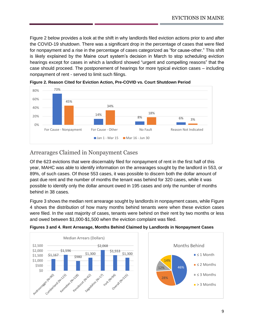Figure 2 below provides a look at the shift in why landlords filed eviction actions prior to and after the COVID-19 shutdown. There was a significant drop in the percentage of cases that were filed for nonpayment and a rise in the percentage of cases categorized as "for cause-other." This shift is likely explained by the Maine court system's decision in March to stop scheduling eviction hearings except for cases in which a landlord showed "urgent and compelling reasons" that the case should proceed. The postponement of hearings for more typical eviction cases – including nonpayment of rent - served to limit such filings.





### <span id="page-10-0"></span>Arrearages Claimed in Nonpayment Cases

Of the 623 evictions that were discernably filed for nonpayment of rent in the first half of this year, MAHC was able to identify information on the arrearages sought by the landlord in 553, or 89%, of such cases. Of those 553 cases, it was possible to discern both the dollar amount of past due rent and the number of months the tenant was behind for 320 cases, while it was possible to identify only the dollar amount owed in 195 cases and only the number of months behind in 38 cases.

Figure 3 shows the median rent arrearage sought by landlords in nonpayment cases, while Figure 4 shows the distribution of how many months behind tenants were when these eviction cases were filed. In the vast majority of cases, tenants were behind on their rent by two months or less and owed between \$1,000-\$1,500 when the eviction complaint was filed.



**Figures 3 and 4. Rent Arrearage, Months Behind Claimed by Landlords in Nonpayment Cases**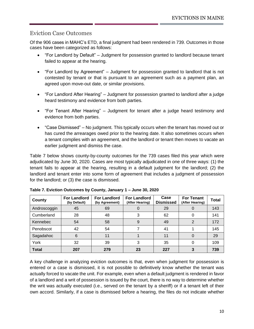### <span id="page-11-0"></span>Eviction Case Outcomes

Of the 906 cases in MAHC's ETD, a final judgment had been rendered in 739. Outcomes in those cases have been categorized as follows:

- "For Landlord by Default" Judgment for possession granted to landlord because tenant failed to appear at the hearing.
- "For Landlord by Agreement" Judgment for possession granted to landlord that is not contested by tenant or that is pursuant to an agreement such as a payment plan, an agreed upon move-out date, or similar provisions.
- "For Landlord After Hearing" Judgment for possession granted to landlord after a judge heard testimony and evidence from both parties.
- "For Tenant After Hearing" Judgment for tenant after a judge heard testimony and evidence from both parties.
- "Case Dismissed" No judgment. This typically occurs when the tenant has moved out or has cured the arrearages owed prior to the hearing date. It also sometimes occurs when a tenant complies with an agreement, and the landlord or tenant then moves to vacate an earlier judgment and dismiss the case.

Table 7 below shows county-by-county outcomes for the 739 cases filed this year which were adjudicated by June 30, 2020. Cases are most typically adjudicated in one of three ways: (1) the tenant fails to appear at the hearing, resulting in a default judgment for the landlord; (2) the landlord and tenant enter into some form of agreement that includes a judgment of possession for the landlord; or (3) the case is dismissed.

| County       | <b>For Landlord</b><br>(by Default) | <b>For Landlord</b><br>(by Agreement) | <b>For Landlord</b><br>(After Hearing) | Case<br><b>Dismissed</b> | <b>For Tenant</b><br>(After Hearing) | <b>Total</b> |
|--------------|-------------------------------------|---------------------------------------|----------------------------------------|--------------------------|--------------------------------------|--------------|
| Androscoggin | 45                                  | 69                                    | Ő                                      | 29                       |                                      | 143          |
| Cumberland   | 28                                  | 48                                    | 3                                      | 62                       |                                      | 141          |
| Kennebec     | 54                                  | 58                                    | 9                                      | 49                       | 2                                    | 172          |
| Penobscot    | 42                                  | 54                                    |                                        | 41                       |                                      | 145          |
| Sagadahoc    | 6                                   | 11                                    |                                        | 11                       |                                      | 29           |
| York         | 32                                  | 39                                    | 3                                      | 35                       |                                      | 109          |
| <b>Total</b> | 207                                 | 279                                   | 23                                     | 227                      |                                      | 739          |

**Table 7. Eviction Outcomes by County, January 1 – June 30, 2020**

A key challenge in analyzing eviction outcomes is that, even when judgment for possession is entered or a case is dismissed, it is not possible to definitively know whether the tenant was actually forced to vacate the unit. For example, even when a default judgment is rendered in favor of a landlord and a writ of possession is issued by the court, there is no way to determine whether the writ was actually executed (i.e., served on the tenant by a sheriff) or if a tenant left of their own accord. Similarly, if a case is dismissed before a hearing, the files do not indicate whether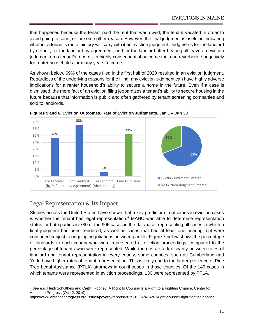that happened because the tenant paid the rent that was owed, the tenant vacated in order to avoid going to court, or for some other reason. However, the final judgment is useful in indicating whether a tenant's rental history will carry with it an eviction judgment. Judgments for the landlord by default, for the landlord by agreement, and for the landlord after hearing all leave an eviction judgment on a tenant's record – a highly consequential outcome that can reverberate negatively for renter households for many years to come.

As shown below, 69% of the cases filed in the first half of 2020 resulted in an eviction judgment. Regardless of the underlying reasons for the filing, any eviction judgment can have highly adverse implications for a renter household's ability to secure a home in the future. Even if a case is dismissed, the mere fact of an eviction filing jeopardizes a tenant's ability to secure housing in the future because that information is public and often gathered by tenant screening companies and sold to landlords.



**Figures 5 and 6. Eviction Outcomes, Rate of Eviction Judgments, Jan 1 – Jun 30**

### <span id="page-12-0"></span>Legal Representation & Its Impact

Studies across the United States have shown that a key predictor of outcomes in eviction cases is whether the tenant has legal representation.<sup>9</sup> MAHC was able to determine representation status for both parties in 780 of the 906 cases in the database, representing all cases in which a final judgment had been rendered, as well as cases that had at least one hearing, but were continued subject to ongoing negotiations between parties. Figure 7 below shows the percentage of landlords in each county who were represented at eviction proceedings, compared to the percentage of tenants who were represented. While there is a stark disparity between rates of landlord and tenant representation in every county, some counties, such as Cumberland and York, have higher rates of tenant representation. This is likely due to the larger presence of Pine Tree Legal Assistance (PTLA) attorneys in courthouses in those counties. Of the 149 cases in which tenants were represented in eviction proceedings, 136 were represented by PTLA.

<sup>9</sup> See e.g. Heidi Schultheis and Caitlin Rooney, A Right to Counsel Is a Right to a Fighting Chance, Center for American Progress (Oct. 2, 2019),

https://www.americanprogress.org/issues/poverty/reports/2019/10/02/475263/right-counsel-right-fighting-chance.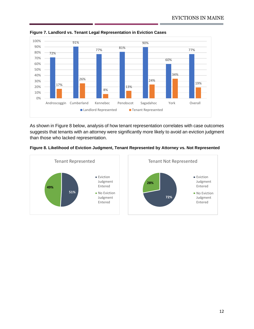

**Figure 7. Landlord vs. Tenant Legal Representation in Eviction Cases**

As shown in Figure 8 below, analysis of how tenant representation correlates with case outcomes suggests that tenants with an attorney were significantly more likely to avoid an eviction judgment than those who lacked representation.



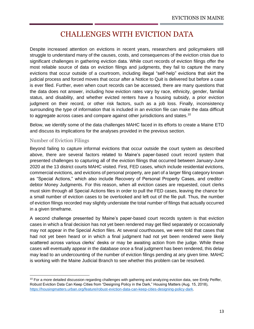## CHALLENGES WITH EVICTION DATA

<span id="page-14-0"></span>Despite increased attention on evictions in recent years, researchers and policymakers still struggle to understand many of the causes, costs, and consequences of the eviction crisis due to significant challenges in gathering eviction data. While court records of eviction filings offer the most reliable source of data on eviction filings and judgments, they fail to capture the many evictions that occur outside of a courtroom, including illegal "self-help" evictions that skirt the judicial process and forced moves that occur after a Notice to Quit is delivered but before a case is ever filed. Further, even when court records can be accessed, there are many questions that the data does not answer, including how eviction rates vary by race, ethnicity, gender, familial status, and disability, and whether evicted renters have a housing subsidy, a prior eviction judgment on their record, or other risk factors, such as a job loss. Finally, inconsistency surrounding the type of information that is included in an eviction file can make the data difficult to aggregate across cases and compare against other jurisdictions and states.<sup>10</sup>

Below, we identify some of the data challenges MAHC faced in its efforts to create a Maine ETD and discuss its implications for the analyses provided in the previous section.

#### Number of Eviction Filings

Beyond failing to capture informal evictions that occur outside the court system as described above, there are several factors related to Maine's paper-based court record system that presented challenges to capturing all of the eviction filings that occurred between January-June 2020 at the 13 district courts MAHC visited. First, FED cases, which include residential evictions, commercial evictions, and evictions of personal property, are part of a larger filing category known as "Special Actions," which also include Recovery of Personal Property Cases, and creditordebtor Money Judgments. For this reason, when all eviction cases are requested, court clerks must skim through all Special Actions files in order to pull the FED cases, leaving the chance for a small number of eviction cases to be overlooked and left out of the file pull. Thus, the number of eviction filings recorded may slightly understate the total number of filings that actually occurred in a given timeframe.

A second challenge presented by Maine's paper-based court records system is that eviction cases in which a final decision has not yet been rendered may get filed separately or occasionally may not appear in the Special Action files. At several courthouses, we were told that cases that had not yet been heard or in which a final judgment had not yet been rendered were likely scattered across various clerks' desks or may be awaiting action from the judge. While these cases will eventually appear in the database once a final judgment has been rendered, this delay may lead to an undercounting of the number of eviction filings pending at any given time. MAHC is working with the Maine Judicial Branch to see whether this problem can be resolved.

 $10$  For a more detailed discussion regarding challenges with gathering and analyzing eviction data, see Emily Peiffer, Robust Eviction Data Can Keep Cities from "Designing Policy in the Dark," Housing Matters (Aug. 15, 2018), [https://housingmatters.urban.org/feature/robust-eviction-data-can-keep-cities-designing-policy-dark.](https://housingmatters.urban.org/feature/robust-eviction-data-can-keep-cities-designing-policy-dark)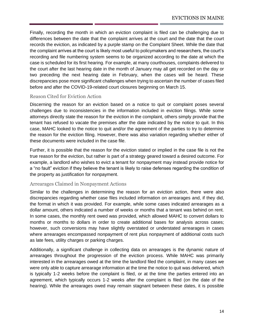Finally, recording the month in which an eviction complaint is filed can be challenging due to differences between the date that the complaint arrives at the court and the date that the court records the eviction, as indicated by a purple stamp on the Complaint Sheet. While the date that the complaint arrives at the court is likely most useful to policymakers and researchers, the court's recording and file numbering system seems to be organized according to the date at which the case is scheduled for its first hearing. For example, at many courthouses, complaints delivered to the court after the last hearing date in the month of January may all get recorded on the day or two preceding the next hearing date in February, when the cases will be heard. These discrepancies pose more significant challenges when trying to ascertain the number of cases filed before and after the COVID-19-related court closures beginning on March 15.

#### Reason Cited for Eviction Action

Discerning the reason for an eviction based on a notice to quit or complaint poses several challenges due to inconsistencies in the information included in eviction filings. While some attorneys directly state the reason for the eviction in the complaint, others simply provide that the tenant has refused to vacate the premises after the date indicated by the notice to quit. In this case, MAHC looked to the notice to quit and/or the agreement of the parties to try to determine the reason for the eviction filing. However, there was also variation regarding whether either of these documents were included in the case file.

Further, it is possible that the reason for the eviction stated or implied in the case file is not the true reason for the eviction, but rather is part of a strategy geared toward a desired outcome. For example, a landlord who wishes to evict a tenant for nonpayment may instead provide notice for a "no fault" eviction if they believe the tenant is likely to raise defenses regarding the condition of the property as justification for nonpayment.

#### Arrearages Claimed in Nonpayment Actions

Similar to the challenges in determining the reason for an eviction action, there were also discrepancies regarding whether case files included information on arrearages and, if they did, the format in which it was provided. For example, while some cases indicated arrearages as a dollar amount, others indicated a number of weeks or months that a tenant was behind on rent. In some cases, the monthly rent owed was provided, which allowed MAHC to convert dollars to months or months to dollars in order to create additional bases for analysis across cases; however, such conversions may have slightly overstated or understated arrearages in cases where arrearages encompassed nonpayment of rent plus nonpayment of additional costs such as late fees, utility charges or parking charges.

Additionally, a significant challenge in collecting data on arrearages is the dynamic nature of arrearages throughout the progression of the eviction process. While MAHC was primarily interested in the arrearages owed at the time the landlord filed the complaint, in many cases we were only able to capture arrearage information at the time the notice to quit was delivered, which is typically 1-2 weeks before the complaint is filed, or at the time the parties entered into an agreement, which typically occurs 1-2 weeks after the complaint is filed (on the date of the hearing). While the arrearages owed may remain stagnant between these dates, it is possible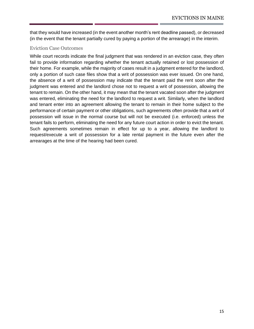that they would have increased (in the event another month's rent deadline passed), or decreased (in the event that the tenant partially cured by paying a portion of the arrearage) in the interim.

#### Eviction Case Outcomes

While court records indicate the final judgment that was rendered in an eviction case, they often fail to provide information regarding whether the tenant actually retained or lost possession of their home. For example, while the majority of cases result in a judgment entered for the landlord, only a portion of such case files show that a writ of possession was ever issued. On one hand, the absence of a writ of possession may indicate that the tenant paid the rent soon after the judgment was entered and the landlord chose not to request a writ of possession, allowing the tenant to remain. On the other hand, it may mean that the tenant vacated soon after the judgment was entered, eliminating the need for the landlord to request a writ. Similarly, when the landlord and tenant enter into an agreement allowing the tenant to remain in their home subject to the performance of certain payment or other obligations, such agreements often provide that a writ of possession will issue in the normal course but will not be executed (i.e. enforced) unless the tenant fails to perform, eliminating the need for any future court action in order to evict the tenant. Such agreements sometimes remain in effect for up to a year, allowing the landlord to request/execute a writ of possession for a late rental payment in the future even after the arrearages at the time of the hearing had been cured.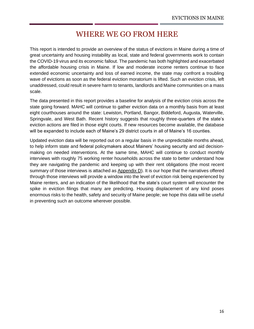## WHERE WE GO FROM HERE

<span id="page-17-0"></span>This report is intended to provide an overview of the status of evictions in Maine during a time of great uncertainty and housing instability as local, state and federal governments work to contain the COVID-19 virus and its economic fallout. The pandemic has both highlighted and exacerbated the affordable housing crisis in Maine. If low and moderate income renters continue to face extended economic uncertainty and loss of earned income, the state may confront a troubling wave of evictions as soon as the federal eviction moratorium is lifted. Such an eviction crisis, left unaddressed, could result in severe harm to tenants, landlords and Maine communities on a mass scale.

The data presented in this report provides a baseline for analysis of the eviction crisis across the state going forward. MAHC will continue to gather eviction data on a monthly basis from at least eight courthouses around the state: Lewiston, Portland, Bangor, Biddeford, Augusta, Waterville, Springvale, and West Bath. Recent history suggests that roughly three-quarters of the state's eviction actions are filed in those eight courts. If new resources become available, the database will be expanded to include each of Maine's 29 district courts in all of Maine's 16 counties.

Updated eviction data will be reported out on a regular basis in the unpredictable months ahead, to help inform state and federal policymakers about Mainers' housing security and aid decisionmaking on needed interventions. At the same time, MAHC will continue to conduct monthly interviews with roughly 75 working renter households across the state to better understand how they are navigating the pandemic and keeping up with their rent obligations (the most recent summary of those interviews is attached as Appendix D). It is our hope that the narratives offered through those interviews will provide a window into the level of eviction risk being experienced by Maine renters, and an indication of the likelihood that the state's court system will encounter the spike in eviction filings that many are predicting. Housing displacement of any kind poses enormous risks to the health, safety and security of Maine people; we hope this data will be useful in preventing such an outcome wherever possible.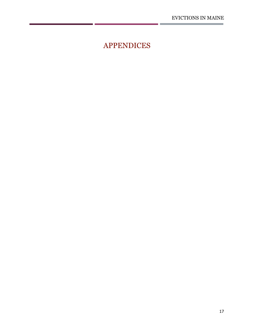÷

<span id="page-18-0"></span>APPENDICES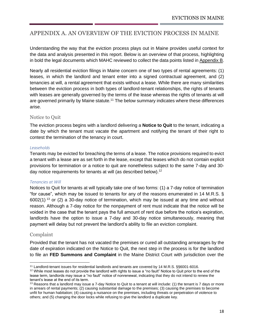### <span id="page-19-0"></span>APPENDIX A. AN OVERVIEW OF THE EVICTION PROCESS IN MAINE

Understanding the way that the eviction process plays out in Maine provides useful context for the data and analysis presented in this report. Below is an overview of that process, highlighting in bold the legal documents which MAHC reviewed to collect the data points listed in Appendix B.

Nearly all residential eviction filings in Maine concern one of two types of rental agreements: (1) leases, in which the landlord and tenant enter into a signed contractual agreement, and (2) tenancies at will, a rental agreement that exists without a lease. While there are many similarities between the eviction process in both types of landlord-tenant relationships, the rights of tenants with leases are generally governed by the terms of the lease whereas the rights of tenants at will are governed primarily by Maine statute.<sup>11</sup> The below summary indicates where these differences arise.

#### Notice to Quit

The eviction process begins with a landlord delivering a **Notice to Quit** to the tenant, indicating a date by which the tenant must vacate the apartment and notifying the tenant of their right to contest the termination of the tenancy in court.

#### *Leaseholds*

Tenants may be evicted for breaching the terms of a lease. The notice provisions required to evict a tenant with a lease are as set forth in the lease, except that leases which do not contain explicit provisions for termination or a notice to quit are nonetheless subject to the same 7-day and 30 day notice requirements for tenants at will (as described below).<sup>12</sup>

#### *Tenancies at Will*

Notices to Quit for tenants at will typically take one of two forms: (1) a 7-day notice of termination "for cause", which may be issued to tenants for any of the reasons enumerated in 14 M.R.S. §  $6002(1)$ <sup>13</sup> or (2) a 30-day notice of termination, which may be issued at any time and without reason. Although a 7-day notice for the nonpayment of rent must indicate that the notice will be voided in the case that the tenant pays the full amount of rent due before the notice's expiration, landlords have the option to issue a 7-day and 30-day notice simultaneously, meaning that payment will delay but not prevent the landlord's ability to file an eviction complaint.

#### Complaint

Provided that the tenant has not vacated the premises or cured all outstanding arrearages by the date of expiration indicated on the Notice to Quit, the next step in the process is for the landlord to file an **FED Summons and Complaint** in the Maine District Court with jurisdiction over the

<sup>11</sup> Landlord-tenant issues for residential landlords and tenants are covered by 14 M.R.S. §§6001-6016.

 $12$  While most leases do not provide the landlord with rights to issue a "no fault" Notice to Quit prior to the end of the lease term, landlords may issue a "no fault" notice of nonrenewal, indicating that they do not intend to renew the tenant's lease at the end of its term.

 $13$  Reasons that a landlord may issue a 7-day Notice to Quit to a tenant at will include: (1) the tenant is 7 days or more in arrears of rental payments; (2) causing substantial damage to the premises; (3) causing the premises to become unfit for human habitation; (4) causing a nuisance on the premises, including threats or perpetration of violence to others; and (5) changing the door locks while refusing to give the landlord a duplicate key.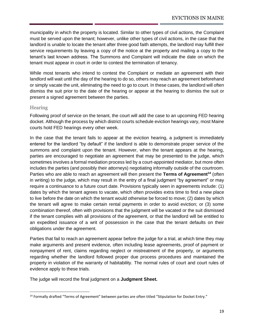municipality in which the property is located. Similar to other types of civil actions, the Complaint must be served upon the tenant; however, unlike other types of civil actions, in the case that the landlord is unable to locate the tenant after three good faith attempts, the landlord may fulfill their service requirements by leaving a copy of the notice at the property and mailing a copy to the tenant's last known address. The Summons and Complaint will indicate the date on which the tenant must appear in court in order to contest the termination of tenancy.

While most tenants who intend to contest the Complaint or mediate an agreement with their landlord will wait until the day of the hearing to do so, others may reach an agreement beforehand or simply vacate the unit, eliminating the need to go to court. In these cases, the landlord will often dismiss the suit prior to the date of the hearing or appear at the hearing to dismiss the suit or present a signed agreement between the parties.

#### **Hearing**

Following proof of service on the tenant, the court will add the case to an upcoming FED hearing docket. Although the process by which district courts schedule eviction hearings vary, most Maine courts hold FED hearings every other week.

In the case that the tenant fails to appear at the eviction hearing, a judgment is immediately entered for the landlord "by default" if the landlord is able to demonstrate proper service of the summons and complaint upon the tenant. However, when the tenant appears at the hearing, parties are encouraged to negotiate an agreement that may be presented to the judge, which sometimes involves a formal mediation process led by a court-appointed mediator, but more often includes the parties (and possibly their attorneys) negotiating informally outside of the courtroom. Parties who are able to reach an agreement will then present the **Terms of Agreement<sup>14</sup>** (often in writing) to the judge, which may result in the entry of a final judgment "by agreement" or may require a continuance to a future court date. Provisions typically seen in agreements include: (1) dates by which the tenant agrees to vacate, which often provides extra time to find a new place to live before the date on which the tenant would otherwise be forced to move; (2) dates by which the tenant will agree to make certain rental payments in order to avoid eviction; or (3) some combination thereof, often with provisions that the judgment will be vacated or the suit dismissed if the tenant complies with all provisions of the agreement, or that the landlord will be entitled to an expedited issuance of a writ of possession in the case that the tenant defaults on their obligations under the agreement.

Parties that fail to reach an agreement appear before the judge for a trial, at which time they may make arguments and present evidence, often including lease agreements, proof of payment or nonpayment of rent, claims regarding neglect or mistreatment of the property, or arguments regarding whether the landlord followed proper due process procedures and maintained the property in violation of the warranty of habitability. The normal rules of court and court rules of evidence apply to these trials.

The judge will record the final judgment on a **Judgment Sheet.**

<sup>&</sup>lt;sup>14</sup> Formally drafted "Terms of Agreement" between parties are often titled "Stipulation for Docket Entry."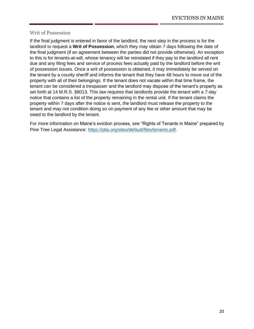#### Writ of Possession

If the final judgment is entered in favor of the landlord, the next step in the process is for the landlord to request a **Writ of Possession**, which they may obtain 7 days following the date of the final judgment (if an agreement between the parties did not provide otherwise). An exception to this is for tenants-at-will, whose tenancy will be reinstated if they pay to the landlord all rent due and any filing fees and service of process fees actually paid by the landlord before the writ of possession issues. Once a writ of possession is obtained, it may immediately be served on the tenant by a county sheriff and informs the tenant that they have 48 hours to move out of the property with all of their belongings. If the tenant does not vacate within that time frame, the tenant can be considered a trespasser and the landlord may dispose of the tenant's property as set forth at 14 M.R.S. §6013. This law requires that landlords provide the tenant with a 7-day notice that contains a list of the property remaining in the rental unit. If the tenant claims the property within 7 days after the notice is sent, the landlord must release the property to the tenant and may not condition doing so on payment of any fee or other amount that may be owed to the landlord by the tenant.

For more information on Maine's eviction process, see "Rights of Tenants in Maine" prepared by Pine Tree Legal Assistance: [https://ptla.org/sites/default/files/tenants.pdf.](https://ptla.org/sites/default/files/tenants.pdf)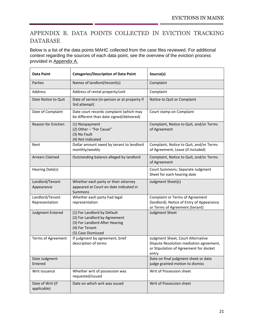## <span id="page-22-0"></span>APPENDIX B. DATA POINTS COLLECTED IN EVICTION TRACKING DATABASE

Below is a list of the data points MAHC collected from the case files reviewed. For additional context regarding the sources of each data point, see the overview of the eviction process provided in Appendix A.

| <b>Data Point</b>                 | <b>Categories/Description of Data Point</b>                                                                                            | Source(s)                                                                                                                       |  |  |
|-----------------------------------|----------------------------------------------------------------------------------------------------------------------------------------|---------------------------------------------------------------------------------------------------------------------------------|--|--|
| Parties                           | Names of landlord/tenant(s)                                                                                                            | Complaint                                                                                                                       |  |  |
| Address                           | Address of rental property/unit                                                                                                        | Complaint                                                                                                                       |  |  |
| Date Notice to Quit               | Date of service (in-person or at property if<br>3rd attempt)                                                                           | Notice to Quit or Complaint                                                                                                     |  |  |
| Date of Complaint                 | Date court records complaint (which may<br>be different than date signed/delivered)                                                    | Court stamp on Complaint                                                                                                        |  |  |
| <b>Reason for Eviction</b>        | (1) Nonpayment<br>(2) Other - "For Cause"<br>(3) No Fault<br>(4) Not Indicated                                                         | Complaint, Notice to Quit, and/or Terms<br>of Agreement                                                                         |  |  |
| Rent                              | Dollar amount owed by tenant to landlord<br>monthly/weekly                                                                             | Complaint, Notice to Quit, and/or Terms<br>of Agreement; Lease (if included)                                                    |  |  |
| <b>Arrears Claimed</b>            | Outstanding balance alleged by landlord                                                                                                | Complaint, Notice to Quit, and/or Terms<br>of Agreement                                                                         |  |  |
| Hearing Date(s)                   |                                                                                                                                        | Court Summons; Separate Judgment<br>Sheet for each hearing date                                                                 |  |  |
| Landlord/Tenant<br>Appearance     | Whether each party or their attorney<br>appeared at Court on date indicated in<br>Summons                                              | Judgment Sheet(s)                                                                                                               |  |  |
| Landlord/Tenant<br>Representation | Whether each party had legal<br>representation                                                                                         | <b>Complaint or Terms of Agreement</b><br>(landlord); Notice of Entry of Appearance<br>or Terms of Agreement (tenant)           |  |  |
| Judgment Entered                  | (1) For Landlord by Default<br>(2) For Landlord by Agreement<br>(3) For Landlord After Hearing<br>(4) For Tenant<br>(5) Case Dismissed | Judgment Sheet                                                                                                                  |  |  |
| Terms of Agreement                | If judgment by agreement, brief<br>description of terms                                                                                | Judgment Sheet, Court Alternative<br>Dispute Resolution mediation agreement,<br>or Stipulation of Agreement for docket<br>entry |  |  |
| Date Judgment<br>Entered          |                                                                                                                                        | Date on final judgment sheet or date<br>judge granted motion to dismiss                                                         |  |  |
| Writ Issuance                     | Whether writ of possession was<br>requested/issued                                                                                     | Writ of Possession sheet                                                                                                        |  |  |
| Date of Writ (if<br>applicable)   | Date on which writ was issued                                                                                                          | Writ of Possession sheet                                                                                                        |  |  |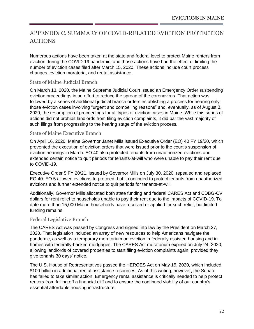### <span id="page-23-0"></span>APPENDIX C. SUMMARY OF COVID-RELATED EVICTION PROTECTION ACTIONS

Numerous actions have been taken at the state and federal level to protect Maine renters from eviction during the COVID-19 pandemic, and those actions have had the effect of limiting the number of eviction cases filed after March 15, 2020. These actions include court process changes, eviction moratoria, and rental assistance.

#### State of Maine Judicial Branch

On March 13, 2020, the Maine Supreme Judicial Court issued an Emergency Order suspending eviction proceedings in an effort to reduce the spread of the coronavirus. That action was followed by a series of additional judicial branch orders establishing a process for hearing only those eviction cases involving "urgent and compelling reasons" and, eventually, as of August 3, 2020, the resumption of proceedings for all types of eviction cases in Maine. While this series of actions did not prohibit landlords from filing eviction complaints, it did bar the vast majority of such filings from progressing to the hearing stage of the eviction process.

#### State of Maine Executive Branch

On April 16, 2020, Maine Governor Janet Mills issued Executive Order (EO) 40 FY 19/20, which prevented the execution of eviction orders that were issued prior to the court's suspension of eviction hearings in March. EO 40 also protected tenants from unauthorized evictions and extended certain notice to quit periods for tenants-at-will who were unable to pay their rent due to COVID-19.

Executive Order 5 FY 20/21, issued by Governor Mills on July 30, 2020, repealed and replaced EO 40. EO 5 allowed evictions to proceed, but it continued to protect tenants from unauthorized evictions and further extended notice to quit periods for tenants-at-will.

Additionally, Governor Mills allocated both state funding and federal CARES Act and CDBG-CV dollars for rent relief to households unable to pay their rent due to the impacts of COVID-19. To date more than 15,000 Maine households have received or applied for such relief, but limited funding remains.

#### Federal Legislative Branch

The CARES Act was passed by Congress and signed into law by the President on March 27, 2020. That legislation included an array of new resources to help Americans navigate the pandemic, as well as a temporary moratorium on eviction in federally assisted housing and in homes with federally-backed mortgages. The CARES Act moratorium expired on July 24, 2020, allowing landlords of covered properties to start filing eviction complaints again, provided they give tenants 30 days' notice.

The U.S. House of Representatives passed the HEROES Act on May 15, 2020, which included \$100 billion in additional rental assistance resources. As of this writing, however, the Senate has failed to take similar action. Emergency rental assistance is critically needed to help protect renters from falling off a financial cliff and to ensure the continued viability of our country's essential affordable housing infrastructure.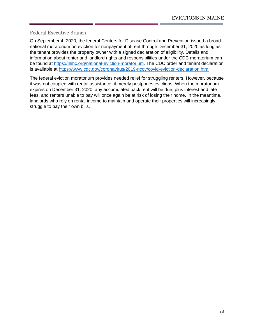Federal Executive Branch

On September 4, 2020, the federal Centers for Disease Control and Prevention issued a broad national moratorium on eviction for nonpayment of rent through December 31, 2020 as long as the tenant provides the property owner with a signed declaration of eligibility. Details and information about renter and landlord rights and responsibilities under the CDC moratorium can be found at [https://nlihc.org/national-eviction-moratorium.](https://nlihc.org/national-eviction-moratorium) The CDC order and tenant declaration is available at [https://www.cdc.gov/coronavirus/2019-ncov/covid-eviction-declaration.html.](https://www.cdc.gov/coronavirus/2019-ncov/covid-eviction-declaration.html)

The federal eviction moratorium provides needed relief for struggling renters. However, because it was not coupled with rental assistance, it merely postpones evictions. When the moratorium expires on December 31, 2020, any accumulated back rent will be due, plus interest and late fees, and renters unable to pay will once again be at risk of losing their home. In the meantime, landlords who rely on rental income to maintain and operate their properties will increasingly struggle to pay their own bills.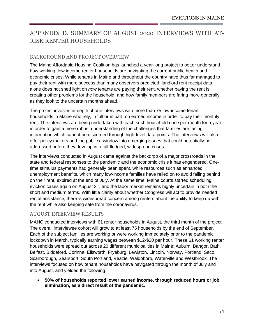## <span id="page-25-0"></span>APPENDIX D. SUMMARY OF AUGUST 2020 INTERVIEWS WITH AT-RISK RENTER HOUSEHOLDS

#### BACKGROUND AND PROJECT OVERVIEW

The Maine Affordable Housing Coalition has launched a year-long project to better understand how working, low income renter households are navigating the current public health and economic crises. While tenants in Maine and throughout the country have thus far managed to pay their rent with more success than many observers predicted, landlord rent receipt data alone does not shed light on *how* tenants are paying their rent, whether paying the rent is creating other problems for the household, and how family members are faring more generally as they look to the uncertain months ahead.

The project involves in-depth phone interviews with more than 75 low-income tenant households in Maine who rely, in full or in part, on earned income in order to pay their monthly rent. The interviews are being undertaken with each such household once per month for a year, in order to gain a more robust understanding of the challenges that families are facing – information which cannot be discerned through high-level data points. The interviews will also offer policy makers and the public a window into emerging issues that could potentially be addressed before they develop into full-fledged, widespread crises.

The interviews conducted in August came against the backdrop of a major crossroads in the state and federal responses to the pandemic and the economic crisis it has engendered. Onetime stimulus payments had generally been spent, while resources such as enhanced unemployment benefits, which many low-income families have relied on to avoid falling behind on their rent, expired at the end of July. At the same time, Maine courts started scheduling eviction cases again on August 3<sup>rd</sup>, and the labor market remains highly uncertain in both the short and medium terms. With little clarity about whether Congress will act to provide needed rental assistance, there is widespread concern among renters about the ability to keep up with the rent while also keeping safe from the coronavirus.

#### AUGUST INTERVIEW RESULTS

MAHC conducted interviews with 61 renter households in August, the third month of the project. The overall interviewee cohort will grow to at least 75 households by the end of September. Each of the subject families are working or were working immediately prior to the pandemic lockdown in March, typically earning wages between \$12-\$20 per hour. These 61 working renter households were spread out across 20 different municipalities in Maine: Auburn, Bangor, Bath, Belfast, Biddeford, Corinna, Ellsworth, Fryeburg, Lewiston, Lincoln, Norway, Portland, Saco, Scarborough, Searsport, South Portland, Veazie, Waldoboro, Waterville and Westbrook. The interviews focused on how tenant households have navigated through the month of July and into August, and yielded the following:

• **50% of households reported lower earned income, through reduced hours or job elimination, as a direct result of the pandemic.**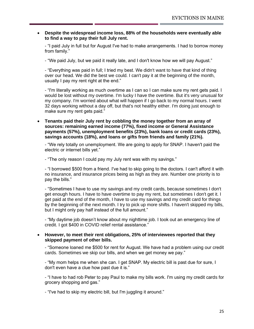• **Despite the widespread income loss, 88% of the households were eventually able to find a way to pay their full July rent.**

- "I paid July in full but for August I've had to make arrangements. I had to borrow money from family."

- "We paid July, but we paid it really late, and I don't know how we will pay August."

- "Everything was paid in full; I tried my best. We didn't want to have that kind of thing over our head. We did the best we could. I can't pay it at the beginning of the month, usually I pay my rent right at the end."

- "I'm literally working as much overtime as I can so I can make sure my rent gets paid. I would be lost without my overtime. I'm lucky I have the overtime. But it's very unusual for my company. I'm worried about what will happen if I go back to my normal hours. I went 32 days working without a day off, but that's not healthy either. I'm doing just enough to make sure my rent gets paid."

• **Tenants paid their July rent by cobbling the money together from an array of sources: remaining earned income (77%), fixed income or General Assistance payments (57%), unemployment benefits (23%), bank loans or credit cards (23%), savings accounts (18%), and loans or gifts from friends and family (21%).** 

- "We rely totally on unemployment. We are going to apply for SNAP. I haven't paid the electric or internet bills yet."

- "The only reason I could pay my July rent was with my savings."

- "I borrowed \$500 from a friend. I've had to skip going to the doctors. I can't afford it with no insurance, and insurance prices being as high as they are. Number one priority is to pay the bills."

- "Sometimes I have to use my savings and my credit cards, because sometimes I don't get enough hours. I have to have overtime to pay my rent, but sometimes I don't get it. I get paid at the end of the month, I have to use my savings and my credit card for things by the beginning of the next month. I try to pick up more shifts. I haven't skipped my bills, but I might only pay half instead of the full amount."

- "My daytime job doesn't know about my nighttime job. I took out an emergency line of credit. I got \$400 in COVID relief rental assistance."

#### • **However, to meet their rent obligations, 25% of interviewees reported that they skipped payment of other bills.**

- "Someone loaned me \$500 for rent for August. We have had a problem using our credit cards. Sometimes we skip our bills, and when we get money we pay."

- "My mom helps me when she can. I get SNAP. My electric bill is past due for sure, I don't even have a clue how past due it is."

- "I have to had rob Peter to pay Paul to make my bills work. I'm using my credit cards for grocery shopping and gas."

- "I've had to skip my electric bill, but I'm juggling it around."